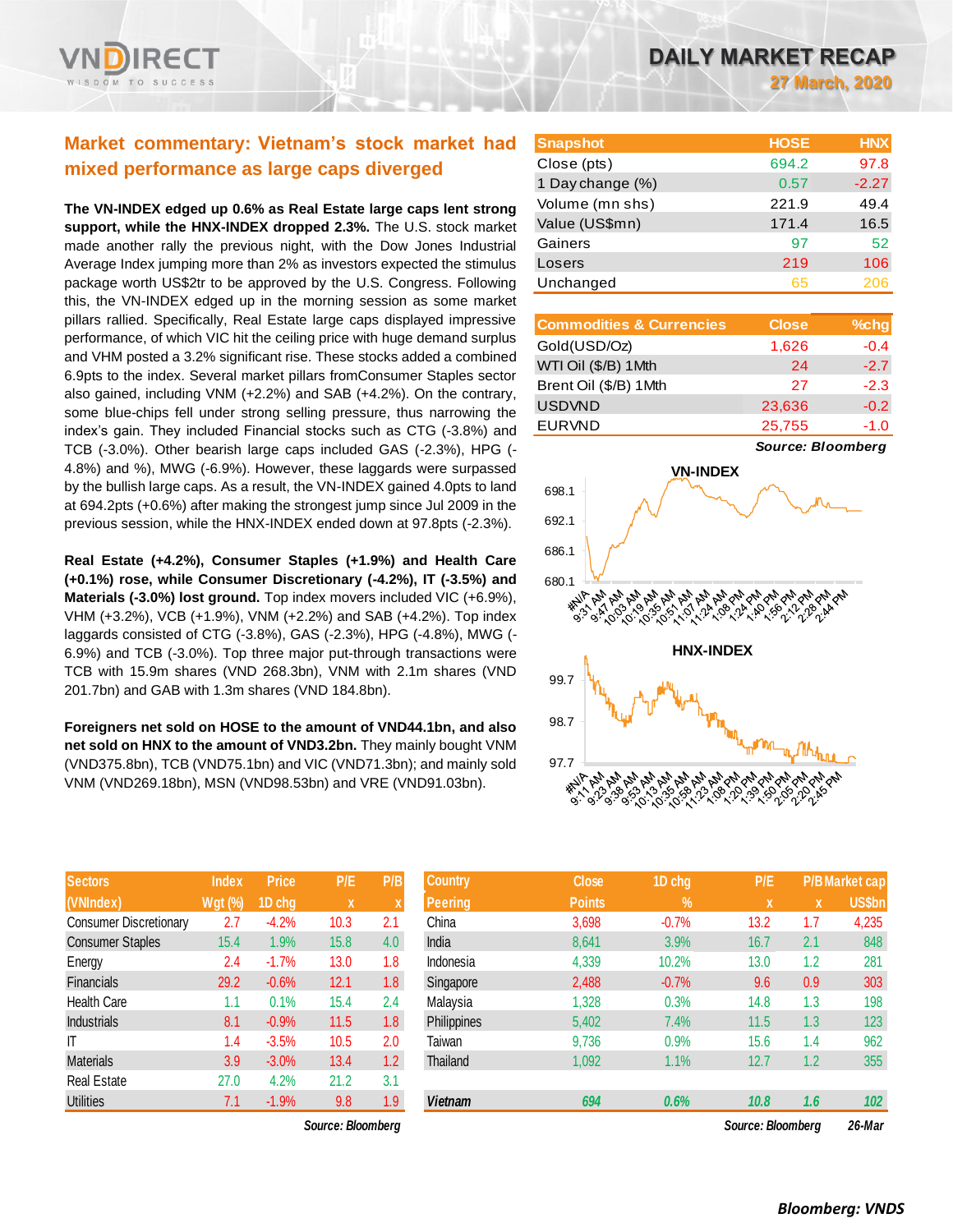

# **Market commentary: Vietnam's stock market had mixed performance as large caps diverged**

**The VN-INDEX edged up 0.6% as Real Estate large caps lent strong support, while the HNX-INDEX dropped 2.3%.** The U.S. stock market made another rally the previous night, with the Dow Jones Industrial Average Index jumping more than 2% as investors expected the stimulus package worth US\$2tr to be approved by the U.S. Congress. Following this, the VN-INDEX edged up in the morning session as some market pillars rallied. Specifically, Real Estate large caps displayed impressive performance, of which VIC hit the ceiling price with huge demand surplus and VHM posted a 3.2% significant rise. These stocks added a combined 6.9pts to the index. Several market pillars fromConsumer Staples sector also gained, including VNM (+2.2%) and SAB (+4.2%). On the contrary, some blue-chips fell under strong selling pressure, thus narrowing the index's gain. They included Financial stocks such as CTG (-3.8%) and TCB (-3.0%). Other bearish large caps included GAS (-2.3%), HPG (- 4.8%) and %), MWG (-6.9%). However, these laggards were surpassed by the bullish large caps. As a result, the VN-INDEX gained 4.0pts to land at 694.2pts (+0.6%) after making the strongest jump since Jul 2009 in the previous session, while the HNX-INDEX ended down at 97.8pts (-2.3%).

**Real Estate (+4.2%), Consumer Staples (+1.9%) and Health Care (+0.1%) rose, while Consumer Discretionary (-4.2%), IT (-3.5%) and Materials (-3.0%) lost ground.** Top index movers included VIC (+6.9%), VHM (+3.2%), VCB (+1.9%), VNM (+2.2%) and SAB (+4.2%). Top index laggards consisted of CTG (-3.8%), GAS (-2.3%), HPG (-4.8%), MWG (- 6.9%) and TCB (-3.0%). Top three major put-through transactions were TCB with 15.9m shares (VND 268.3bn), VNM with 2.1m shares (VND 201.7bn) and GAB with 1.3m shares (VND 184.8bn).

**Foreigners net sold on HOSE to the amount of VND44.1bn, and also net sold on HNX to the amount of VND3.2bn.** They mainly bought VNM (VND375.8bn), TCB (VND75.1bn) and VIC (VND71.3bn); and mainly sold VNM (VND269.18bn), MSN (VND98.53bn) and VRE (VND91.03bn).

| <b>Sectors</b>                | <b>Index</b>   | Price   | P/E  | P/B |
|-------------------------------|----------------|---------|------|-----|
| (VNIndex)                     | <b>Wgt (%)</b> | 1D chg  | X    | X   |
| <b>Consumer Discretionary</b> | 2.7            | $-4.2%$ | 10.3 | 2.1 |
| <b>Consumer Staples</b>       | 15.4           | 1.9%    | 15.8 | 4.0 |
| Energy                        | 2.4            | $-1.7%$ | 13.0 | 1.8 |
| Financials                    | 29.2           | $-0.6%$ | 12.1 | 1.8 |
| <b>Health Care</b>            | 1.1            | 0.1%    | 15.4 | 2.4 |
| <b>Industrials</b>            | 8.1            | $-0.9%$ | 11.5 | 1.8 |
| ΙT                            | 1.4            | $-3.5%$ | 10.5 | 2.0 |
| <b>Materials</b>              | 3.9            | $-3.0%$ | 13.4 | 1.2 |
| <b>Real Estate</b>            | 27.0           | 4.2%    | 21.2 | 3.1 |
| <b>Utilities</b>              | 7.1            | $-1.9%$ | 9.8  | 1.9 |

*Source: Bloomberg Source: Bloomberg 26-Mar*

| <b>Snapshot</b>  | <b>HOSE</b> | <b>HNX</b> |
|------------------|-------------|------------|
| Close (pts)      | 694.2       | 97.8       |
| 1 Day change (%) | 0.57        | $-2.27$    |
| Volume (mn shs)  | 221.9       | 49.4       |
| Value (US\$mn)   | 171.4       | 16.5       |
| Gainers          | 97          | 52         |
| Losers           | 219         | 106        |
| Unchanged        | 65          | 206        |

| <b>Commodities &amp; Currencies</b> | <b>Close</b> | $%$ chg |
|-------------------------------------|--------------|---------|
| Gold(USD/Oz)                        | 1,626        | $-0.4$  |
| WTI Oil (\$/B) 1Mth                 | 24           | $-2.7$  |
| Brent Oil (\$/B) 1Mth               | 27           | $-2.3$  |
| <b>USDVND</b>                       | 23,636       | $-0.2$  |
| <b>EURVND</b>                       | 25,755       | $-1.0$  |

*Source: Bloomberg*



| <b>Sectors</b>          | <b>Index</b> | <b>Price</b> | P/E               | P/B | <b>Country</b> | <b>Close</b>  | 1D chg     | P/E               |     | <b>P/B Market cap</b> |
|-------------------------|--------------|--------------|-------------------|-----|----------------|---------------|------------|-------------------|-----|-----------------------|
| (VNIndex)               | Wgt (%)      | 1D chg       | $\mathbf x$       |     | Peering        | <b>Points</b> | $\sqrt{2}$ | $\mathbf{x}$      | x   | <b>US\$bn</b>         |
| Consumer Discretionary  | 2.7          | $-4.2%$      | 10.3              | 2.1 | China          | 3,698         | $-0.7%$    | 13.2              | 1.7 | 4,235                 |
| <b>Consumer Staples</b> | 15.4         | $.9\%$       | 15.8              | 4.0 | India          | 8,641         | 3.9%       | 16.7              | 2.1 | 848                   |
| Energy                  | 2.4          | $-1.7%$      | 13.0              | 1.8 | Indonesia      | 4,339         | 10.2%      | 13.0              | 1.2 | 281                   |
| Financials              | 29.2         | $-0.6%$      | 12.1              | 1.8 | Singapore      | 2,488         | $-0.7%$    | 9.6               | 0.9 | 303                   |
| <b>Health Care</b>      | 1.1          | 0.1%         | 15.4              | 2.4 | Malaysia       | 1,328         | 0.3%       | 14.8              | 1.3 | 198                   |
| <b>Industrials</b>      | 8.1          | $-0.9%$      | 11.5              | 1.8 | Philippines    | 5,402         | 7.4%       | 11.5              | 1.3 | 123                   |
| ΙT                      | 1.4          | $-3.5%$      | 10.5              | 2.0 | Taiwan         | 9,736         | 0.9%       | 15.6              | 1.4 | 962                   |
| <b>Materials</b>        | 3.9          | $-3.0%$      | 13.4              | 1.2 | Thailand       | 1,092         | 1.1%       | 12.7              | 1.2 | 355                   |
| Real Estate             | 27.0         | 4.2%         | 21.2              | 3.1 |                |               |            |                   |     |                       |
| <b>Utilities</b>        | 7.1          | $-1.9%$      | 9.8               | 1.9 | <b>Vietnam</b> | 694           | 0.6%       | 10.8              | 1.6 | 102                   |
|                         |              |              | Source: Bloomberg |     |                |               |            | Source: Bloombera |     | 26-Mar                |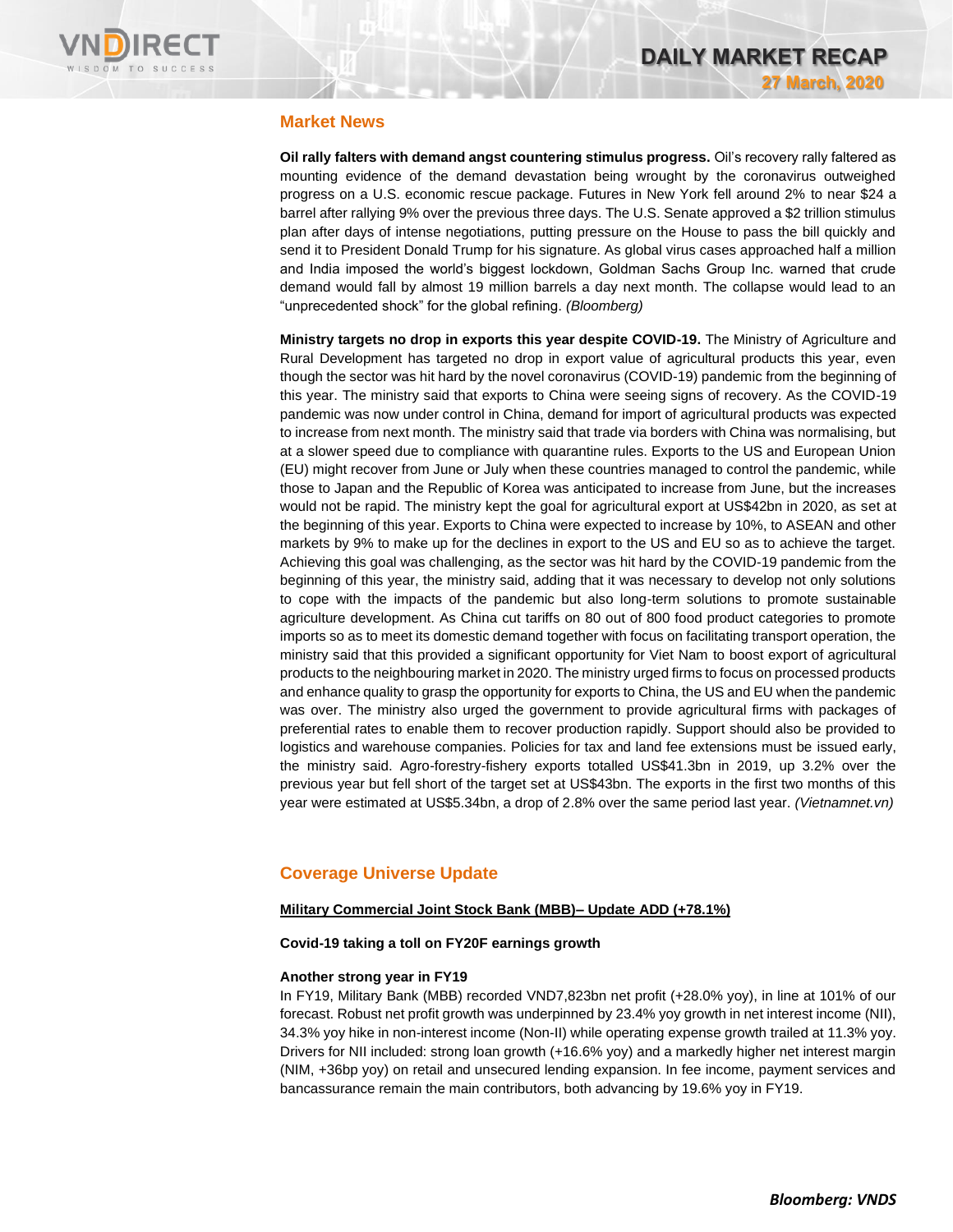

# **Market News**

**Oil rally falters with demand angst countering stimulus progress.** Oil's recovery rally faltered as mounting evidence of the demand devastation being wrought by the coronavirus outweighed progress on a U.S. economic rescue package. Futures in New York fell around 2% to near \$24 a barrel after rallying 9% over the previous three days. The U.S. Senate approved a \$2 trillion stimulus plan after days of intense negotiations, putting pressure on the House to pass the bill quickly and send it to President Donald Trump for his signature. As global virus cases approached half a million and India imposed the world's biggest lockdown, Goldman Sachs Group Inc. warned that crude demand would fall by almost 19 million barrels a day next month. The collapse would lead to an "unprecedented shock" for the global refining. *(Bloomberg)*

**Ministry targets no drop in exports this year despite COVID-19.** The Ministry of Agriculture and Rural Development has targeted no drop in export value of agricultural products this year, even though the sector was hit hard by the novel coronavirus (COVID-19) pandemic from the beginning of this year. The ministry said that exports to China were seeing signs of recovery. As the COVID-19 pandemic was now under control in China, demand for import of agricultural products was expected to increase from next month. The ministry said that trade via borders with China was normalising, but at a slower speed due to compliance with quarantine rules. Exports to the US and European Union (EU) might recover from June or July when these countries managed to control the pandemic, while those to Japan and the Republic of Korea was anticipated to increase from June, but the increases would not be rapid. The ministry kept the goal for agricultural export at US\$42bn in 2020, as set at the beginning of this year. Exports to China were expected to increase by 10%, to ASEAN and other markets by 9% to make up for the declines in export to the US and EU so as to achieve the target. Achieving this goal was challenging, as the sector was hit hard by the COVID-19 pandemic from the beginning of this year, the ministry said, adding that it was necessary to develop not only solutions to cope with the impacts of the pandemic but also long-term solutions to promote sustainable agriculture development. As China cut tariffs on 80 out of 800 food product categories to promote imports so as to meet its domestic demand together with focus on facilitating transport operation, the ministry said that this provided a significant opportunity for Viet Nam to boost export of agricultural products to the neighbouring market in 2020. The ministry urged firms to focus on processed products and enhance quality to grasp the opportunity for exports to China, the US and EU when the pandemic was over. The ministry also urged the government to provide agricultural firms with packages of preferential rates to enable them to recover production rapidly. Support should also be provided to logistics and warehouse companies. Policies for tax and land fee extensions must be issued early, the ministry said. Agro-forestry-fishery exports totalled US\$41.3bn in 2019, up 3.2% over the previous year but fell short of the target set at US\$43bn. The exports in the first two months of this year were estimated at US\$5.34bn, a drop of 2.8% over the same period last year. *(Vietnamnet.vn)*

# **Coverage Universe Update**

### **Military Commercial Joint Stock Bank (MBB)– Update ADD (+78.1%)**

### **Covid-19 taking a toll on FY20F earnings growth**

### **Another strong year in FY19**

In FY19, Military Bank (MBB) recorded VND7,823bn net profit (+28.0% yoy), in line at 101% of our forecast. Robust net profit growth was underpinned by 23.4% yoy growth in net interest income (NII), 34.3% yoy hike in non-interest income (Non-II) while operating expense growth trailed at 11.3% yoy. Drivers for NII included: strong loan growth (+16.6% yoy) and a markedly higher net interest margin (NIM, +36bp yoy) on retail and unsecured lending expansion. In fee income, payment services and bancassurance remain the main contributors, both advancing by 19.6% yoy in FY19.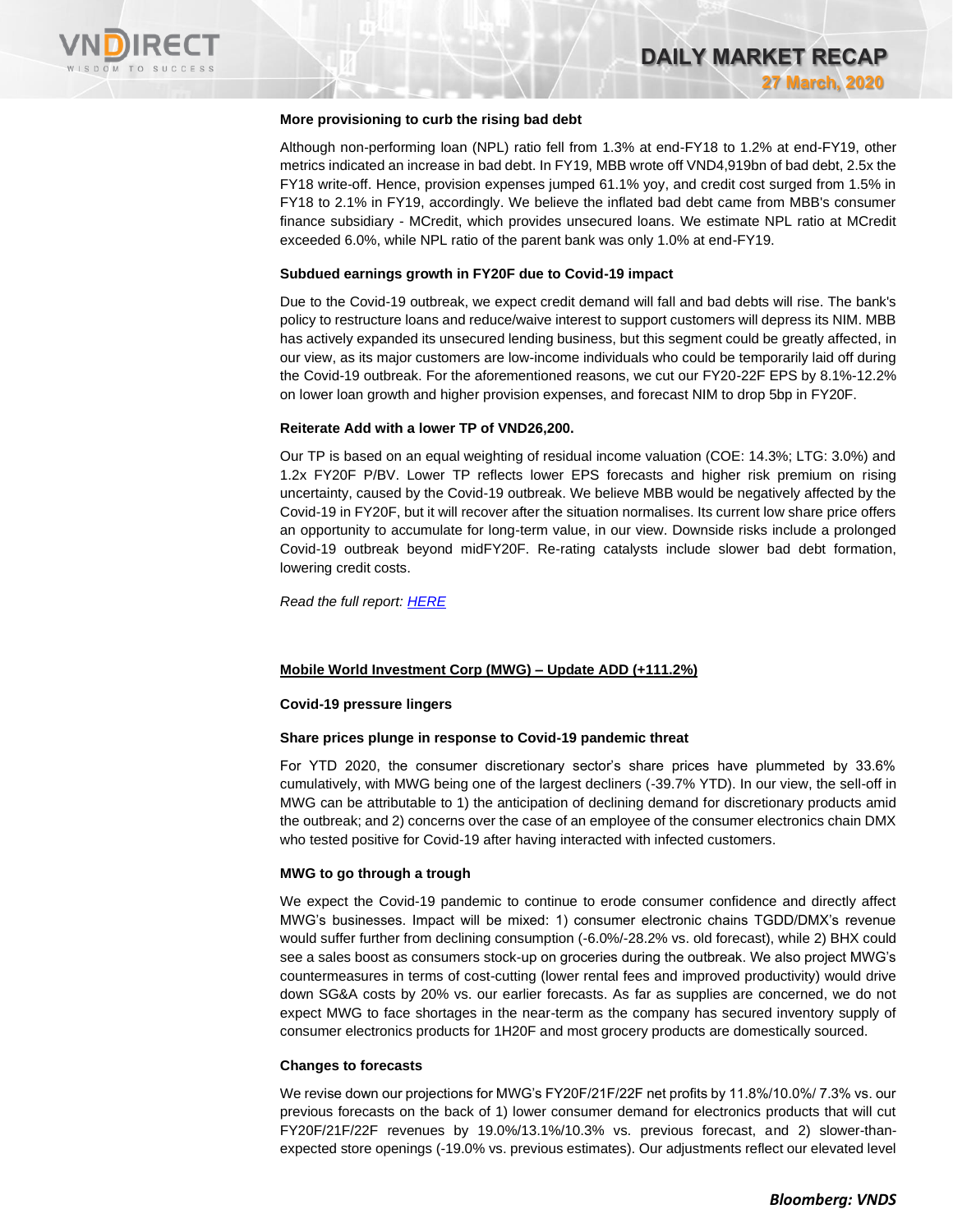

### **More provisioning to curb the rising bad debt**

Although non-performing loan (NPL) ratio fell from 1.3% at end-FY18 to 1.2% at end-FY19, other metrics indicated an increase in bad debt. In FY19, MBB wrote off VND4,919bn of bad debt, 2.5x the FY18 write-off. Hence, provision expenses jumped 61.1% yoy, and credit cost surged from 1.5% in FY18 to 2.1% in FY19, accordingly. We believe the inflated bad debt came from MBB's consumer finance subsidiary - MCredit, which provides unsecured loans. We estimate NPL ratio at MCredit exceeded 6.0%, while NPL ratio of the parent bank was only 1.0% at end-FY19.

### **Subdued earnings growth in FY20F due to Covid-19 impact**

Due to the Covid-19 outbreak, we expect credit demand will fall and bad debts will rise. The bank's policy to restructure loans and reduce/waive interest to support customers will depress its NIM. MBB has actively expanded its unsecured lending business, but this segment could be greatly affected, in our view, as its major customers are low-income individuals who could be temporarily laid off during the Covid-19 outbreak. For the aforementioned reasons, we cut our FY20-22F EPS by 8.1%-12.2% on lower loan growth and higher provision expenses, and forecast NIM to drop 5bp in FY20F.

### **Reiterate Add with a lower TP of VND26,200.**

Our TP is based on an equal weighting of residual income valuation (COE: 14.3%; LTG: 3.0%) and 1.2x FY20F P/BV. Lower TP reflects lower EPS forecasts and higher risk premium on rising uncertainty, caused by the Covid-19 outbreak. We believe MBB would be negatively affected by the Covid-19 in FY20F, but it will recover after the situation normalises. Its current low share price offers an opportunity to accumulate for long-term value, in our view. Downside risks include a prolonged Covid-19 outbreak beyond midFY20F. Re-rating catalysts include slower bad debt formation, lowering credit costs.

*Read the full report: [HERE](https://nhanha-public-api.vndirect.com.vn/click/OGE0ODlmZDA3MDFjZjM0OTAxNzAxZWQ4OTRkZjAwMDk=/Y2M2MGQ1Yjk4MjkxNDkyZGFmNTIyMjUyMzgzNDJhYjM=/cc60d5b98291492daf52225238342ab3-MBB_Update_20200326.pdf/cmVzZWFyY2hAdm5kaXJlY3QuY29tLnZu/MTY0ODg=)*

### **Mobile World Investment Corp (MWG) – Update ADD (+111.2%)**

### **Covid-19 pressure lingers**

### **Share prices plunge in response to Covid-19 pandemic threat**

For YTD 2020, the consumer discretionary sector's share prices have plummeted by 33.6% cumulatively, with MWG being one of the largest decliners (-39.7% YTD). In our view, the sell-off in MWG can be attributable to 1) the anticipation of declining demand for discretionary products amid the outbreak; and 2) concerns over the case of an employee of the consumer electronics chain DMX who tested positive for Covid-19 after having interacted with infected customers.

### **MWG to go through a trough**

We expect the Covid-19 pandemic to continue to erode consumer confidence and directly affect MWG's businesses. Impact will be mixed: 1) consumer electronic chains TGDD/DMX's revenue would suffer further from declining consumption (-6.0%/-28.2% vs. old forecast), while 2) BHX could see a sales boost as consumers stock-up on groceries during the outbreak. We also project MWG's countermeasures in terms of cost-cutting (lower rental fees and improved productivity) would drive down SG&A costs by 20% vs. our earlier forecasts. As far as supplies are concerned, we do not expect MWG to face shortages in the near-term as the company has secured inventory supply of consumer electronics products for 1H20F and most grocery products are domestically sourced.

### **Changes to forecasts**

We revise down our projections for MWG's FY20F/21F/22F net profits by 11.8%/10.0%/ 7.3% vs. our previous forecasts on the back of 1) lower consumer demand for electronics products that will cut FY20F/21F/22F revenues by 19.0%/13.1%/10.3% vs. previous forecast, and 2) slower-thanexpected store openings (-19.0% vs. previous estimates). Our adjustments reflect our elevated level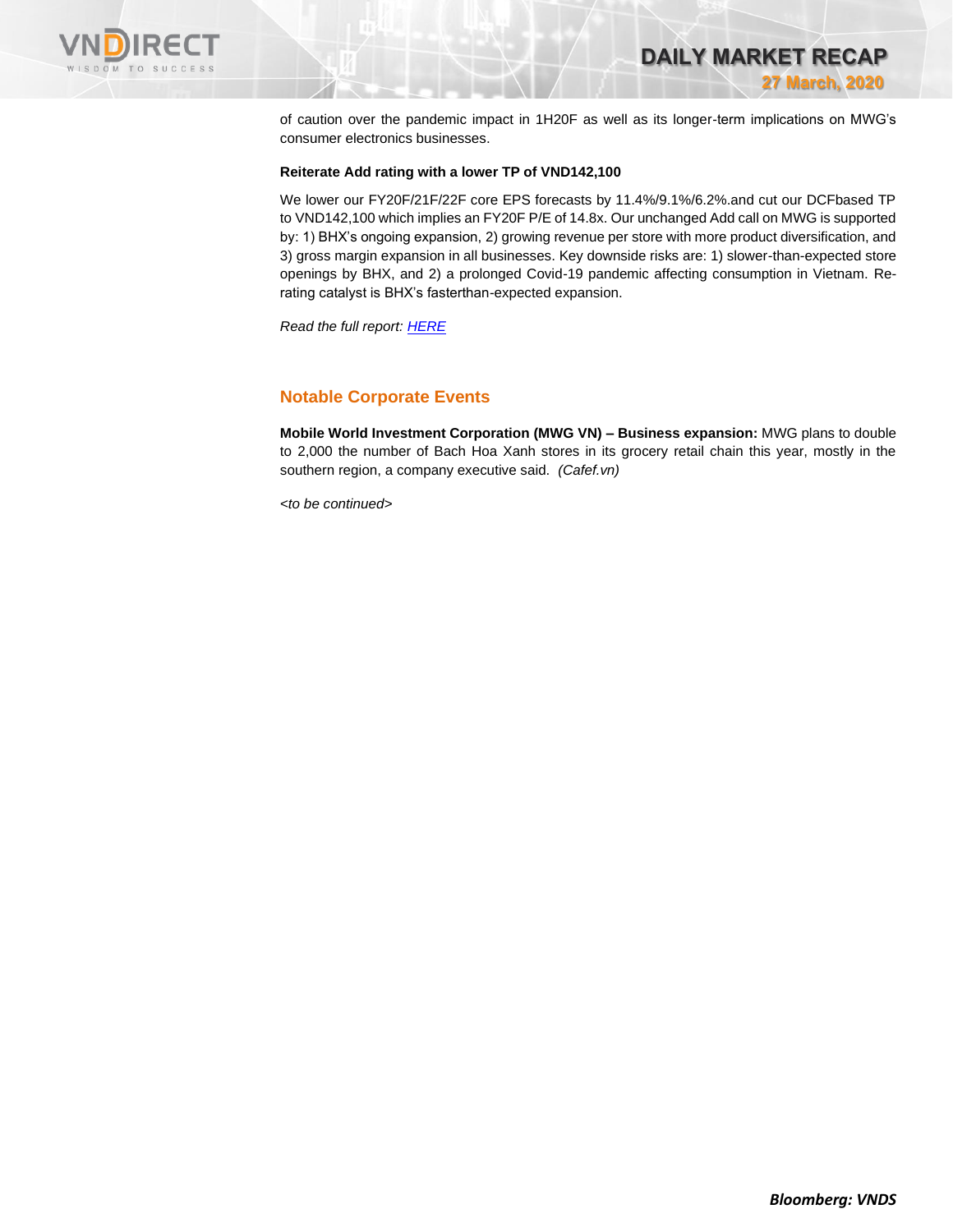

**DAILY MARKET RECAP 27 March, 2020**

of caution over the pandemic impact in 1H20F as well as its longer-term implications on MWG's consumer electronics businesses.

### **Reiterate Add rating with a lower TP of VND142,100**

We lower our FY20F/21F/22F core EPS forecasts by 11.4%/9.1%/6.2%.and cut our DCFbased TP to VND142,100 which implies an FY20F P/E of 14.8x. Our unchanged Add call on MWG is supported by: 1) BHX's ongoing expansion, 2) growing revenue per store with more product diversification, and 3) gross margin expansion in all businesses. Key downside risks are: 1) slower-than-expected store openings by BHX, and 2) a prolonged Covid-19 pandemic affecting consumption in Vietnam. Rerating catalyst is BHX's fasterthan-expected expansion.

*Read the full report: [HERE](https://nhanha-public-api.vndirect.com.vn/click/OGE0ODlmZDA3MDFjZjM0OTAxNzAxZWQ4OTRkZjAwMDk=/MDgzMWYyNGNlZTI2NGM1OGFiYTRiNjZkNDUxOWE5MTg=/0831f24cee264c58aba4b66d4519a918-MWG_Update_20200326.pdf/cmVzZWFyY2hAdm5kaXJlY3QuY29tLnZu/MTY0ODk=)*

# **Notable Corporate Events**

**Mobile World Investment Corporation (MWG VN) – Business expansion:** MWG plans to double to 2,000 the number of Bach Hoa Xanh stores in its grocery retail chain this year, mostly in the southern region, a company executive said. *(Cafef.vn)*

*<to be continued>*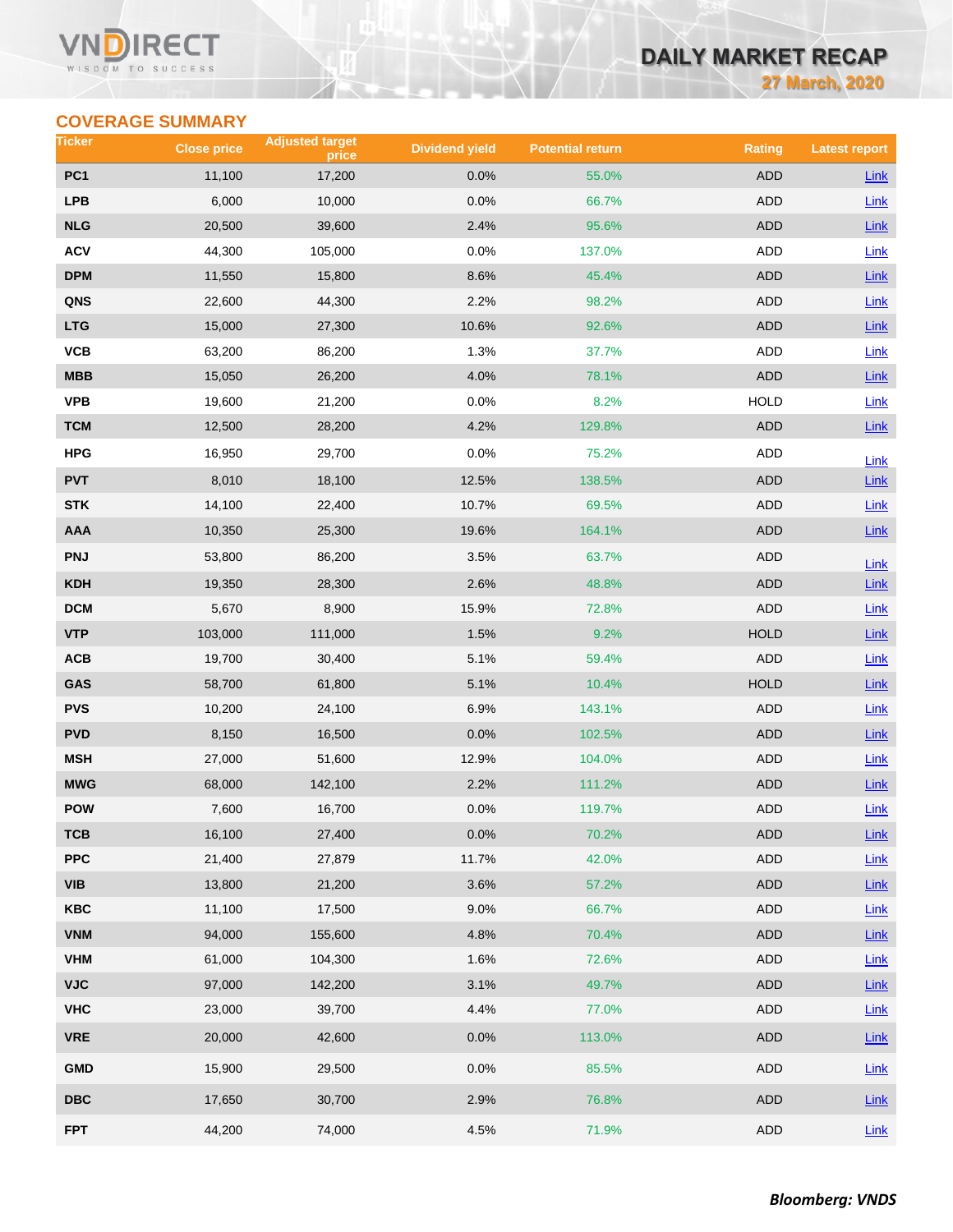### VM RECT WISDOM TO SUCCESS

# **DAILY MARKET RECAP**

**27 March, 2020**

# **COVERAGE SUMMARY**

| Ticker                  | <b>Close price</b> | <b>Adjusted target</b><br>price | <b>Dividend yield</b> | <b>Potential return</b> | <b>Rating</b> | <b>Latest report</b> |
|-------------------------|--------------------|---------------------------------|-----------------------|-------------------------|---------------|----------------------|
| PC <sub>1</sub>         | 11,100             | 17,200                          | 0.0%                  | 55.0%                   | <b>ADD</b>    | Link                 |
| <b>LPB</b>              | 6,000              | 10,000                          | 0.0%                  | 66.7%                   | <b>ADD</b>    | Link                 |
| <b>NLG</b>              | 20,500             | 39,600                          | 2.4%                  | 95.6%                   | <b>ADD</b>    | Link                 |
| <b>ACV</b>              | 44,300             | 105,000                         | 0.0%                  | 137.0%                  | <b>ADD</b>    | Link                 |
| <b>DPM</b>              | 11,550             | 15,800                          | 8.6%                  | 45.4%                   | <b>ADD</b>    | $Link$               |
| QNS                     | 22,600             | 44,300                          | 2.2%                  | 98.2%                   | <b>ADD</b>    | Link                 |
| <b>LTG</b>              | 15,000             | 27,300                          | 10.6%                 | 92.6%                   | <b>ADD</b>    | Link                 |
| VCB                     | 63,200             | 86,200                          | 1.3%                  | 37.7%                   | <b>ADD</b>    | Link                 |
| <b>MBB</b>              | 15,050             | 26,200                          | 4.0%                  | 78.1%                   | <b>ADD</b>    | $Link$               |
| <b>VPB</b>              | 19,600             | 21,200                          | 0.0%                  | 8.2%                    | <b>HOLD</b>   | Link                 |
| <b>TCM</b>              | 12,500             | 28,200                          | 4.2%                  | 129.8%                  | <b>ADD</b>    | Link                 |
| <b>HPG</b>              | 16,950             | 29,700                          | 0.0%                  | 75.2%                   | ADD           | Link                 |
| <b>PVT</b>              | 8,010              | 18,100                          | 12.5%                 | 138.5%                  | <b>ADD</b>    | Link                 |
| <b>STK</b>              | 14,100             | 22,400                          | 10.7%                 | 69.5%                   | ADD           | Link                 |
| AAA                     | 10,350             | 25,300                          | 19.6%                 | 164.1%                  | <b>ADD</b>    | Link                 |
| <b>PNJ</b>              | 53,800             | 86,200                          | 3.5%                  | 63.7%                   | <b>ADD</b>    | Link                 |
| <b>KDH</b>              | 19,350             | 28,300                          | 2.6%                  | 48.8%                   | <b>ADD</b>    | $Link$               |
| <b>DCM</b>              | 5,670              | 8,900                           | 15.9%                 | 72.8%                   | <b>ADD</b>    | Link                 |
| <b>VTP</b>              | 103,000            | 111,000                         | 1.5%                  | 9.2%                    | <b>HOLD</b>   | $Link$               |
| ACB                     | 19,700             | 30,400                          | 5.1%                  | 59.4%                   | ADD           | <b>Link</b>          |
| GAS                     | 58,700             | 61,800                          | 5.1%                  | 10.4%                   | <b>HOLD</b>   | $Link$               |
| <b>PVS</b>              | 10,200             | 24,100                          | 6.9%                  | 143.1%                  | <b>ADD</b>    | Link                 |
| <b>PVD</b>              | 8,150              | 16,500                          | 0.0%                  | 102.5%                  | <b>ADD</b>    | Link                 |
| <b>MSH</b>              | 27,000             | 51,600                          | 12.9%                 | 104.0%                  | ADD           | Link                 |
| <b>MWG</b>              | 68,000             | 142,100                         | 2.2%                  | 111.2%                  | <b>ADD</b>    | $Link$               |
| <b>POW</b>              | 7,600              | 16,700                          | 0.0%                  | 119.7%                  | <b>ADD</b>    | Link                 |
| тсв                     | 16,100             | 27,400                          | 0.0%                  | 70.2%                   | ADD           | $Link$               |
| <b>PPC</b>              | 21,400             | 27,879                          | 11.7%                 | 42.0%                   | <b>ADD</b>    | Link                 |
| <b>VIB</b>              | 13,800             | 21,200                          | 3.6%                  | 57.2%                   | ADD           | $Link$               |
| <b>KBC</b>              | 11,100             | 17,500                          | 9.0%                  | 66.7%                   | ADD           | Link                 |
| <b>VNM</b>              | 94,000             | 155,600                         | 4.8%                  | 70.4%                   | ADD           | Link                 |
| <b>VHM</b>              | 61,000             | 104,300                         | 1.6%                  | 72.6%                   | <b>ADD</b>    | Link                 |
| <b>VJC</b>              | 97,000             | 142,200                         | 3.1%                  | 49.7%                   | ADD           | Link                 |
| <b>VHC</b>              | 23,000             | 39,700                          | 4.4%                  | 77.0%                   | ADD           | Link                 |
| <b>VRE</b>              | 20,000             | 42,600                          | 0.0%                  | 113.0%                  | ADD           | Link                 |
| <b>GMD</b>              | 15,900             | 29,500                          | 0.0%                  | 85.5%                   | ADD           | Link                 |
| $\overline{\text{DBC}}$ | 17,650             | 30,700                          | 2.9%                  | 76.8%                   | ADD           | $Link$               |
| <b>FPT</b>              | 44,200             | 74,000                          | 4.5%                  | 71.9%                   | ADD           | Link                 |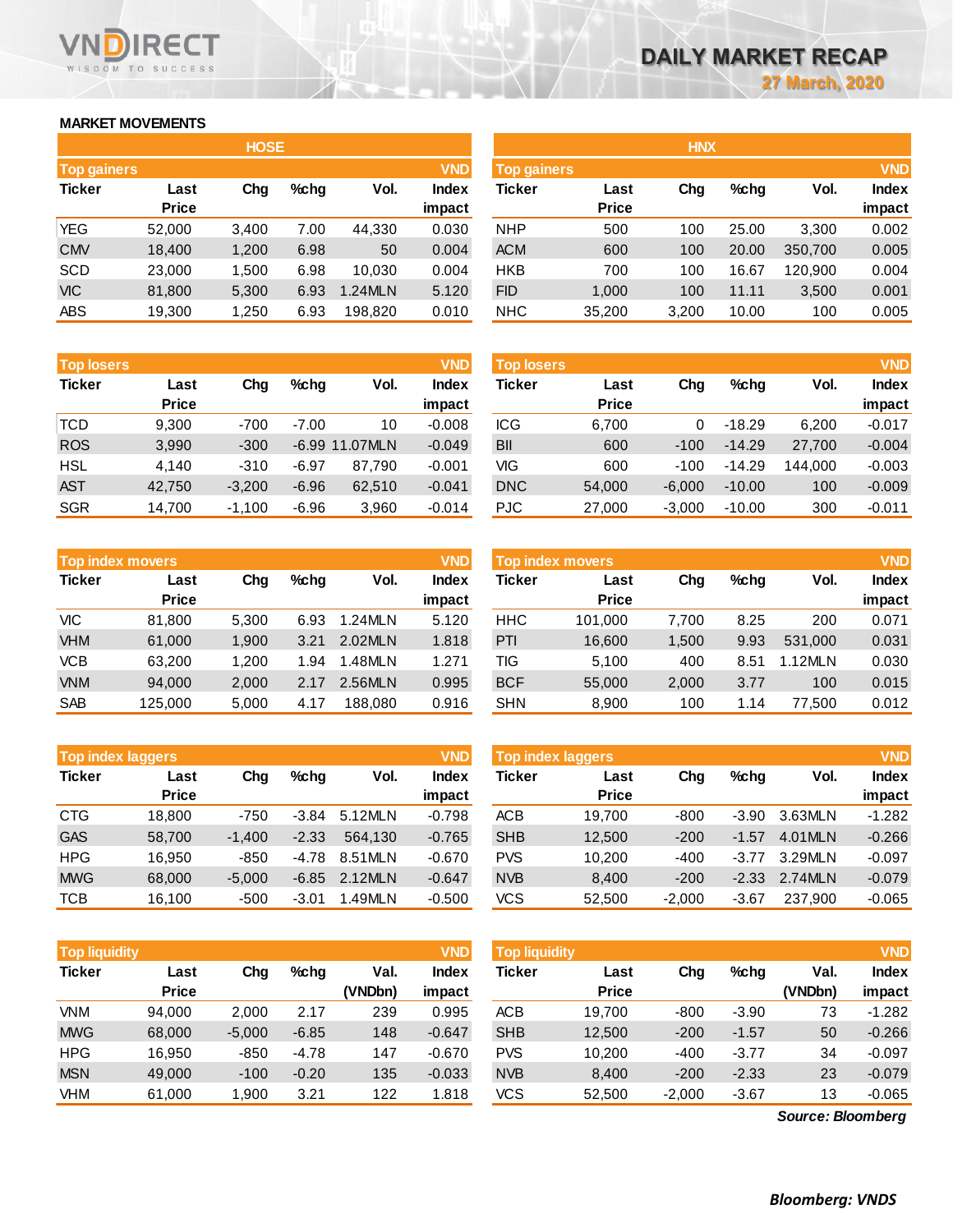# **MARKET MOVEMENTS**

WISDOM TO SUCCESS

RECT

| <b>HOSE</b>        |              |       |      |         |              |  |  |  |  |  |  |  |
|--------------------|--------------|-------|------|---------|--------------|--|--|--|--|--|--|--|
| <b>Top gainers</b> |              |       |      |         | <b>VND</b>   |  |  |  |  |  |  |  |
| <b>Ticker</b>      | Last         | Cha   | %chq | Vol.    | <b>Index</b> |  |  |  |  |  |  |  |
|                    | <b>Price</b> |       |      |         | impact       |  |  |  |  |  |  |  |
| YEG                | 52,000       | 3,400 | 7.00 | 44,330  | 0.030        |  |  |  |  |  |  |  |
| <b>CMV</b>         | 18,400       | 1,200 | 6.98 | 50      | 0.004        |  |  |  |  |  |  |  |
| <b>SCD</b>         | 23,000       | 1,500 | 6.98 | 10,030  | 0.004        |  |  |  |  |  |  |  |
| <b>VIC</b>         | 81,800       | 5,300 | 6.93 | 1.24MLN | 5.120        |  |  |  |  |  |  |  |
| <b>ABS</b>         | 19,300       | 1,250 | 6.93 | 198,820 | 0.010        |  |  |  |  |  |  |  |

| <b>Top losers</b> |              |          |         |          | <b>VND</b>   |
|-------------------|--------------|----------|---------|----------|--------------|
| <b>Ticker</b>     | Last         |          | %chq    | Vol.     | <b>Index</b> |
|                   | <b>Price</b> |          |         |          | impact       |
| <b>TCD</b>        | 9,300        | $-700$   | $-7.00$ | 10       | $-0.008$     |
| <b>ROS</b>        | 3,990        | $-300$   | $-6.99$ | 11.07MLN | $-0.049$     |
| <b>HSL</b>        | 4.140        | $-310$   | $-6.97$ | 87.790   | $-0.001$     |
| <b>AST</b>        | 42,750       | $-3,200$ | $-6.96$ | 62,510   | $-0.041$     |
| <b>SGR</b>        | 14.700       | $-1,100$ | $-6.96$ | 3,960    | $-0.014$     |

|               | <b>Top index movers</b> |       |      |         | <b>VND</b>   |
|---------------|-------------------------|-------|------|---------|--------------|
| <b>Ticker</b> | Last                    | Cha   | %chq | Vol.    | <b>Index</b> |
|               | <b>Price</b>            |       |      |         | impact       |
| <b>VIC</b>    | 81,800                  | 5,300 | 6.93 | 1.24MLN | 5.120        |
| <b>VHM</b>    | 61,000                  | 1,900 | 3.21 | 2.02MLN | 1.818        |
| <b>VCB</b>    | 63,200                  | 1,200 | 1.94 | 1.48MLN | 1.271        |
| <b>VNM</b>    | 94,000                  | 2,000 | 2.17 | 2.56MLN | 0.995        |
| <b>SAB</b>    | 125,000                 | 5,000 | 4.17 | 188,080 | 0.916        |

| <b>Top index laggers</b> |              |          |         |         | <b>VND</b>   |
|--------------------------|--------------|----------|---------|---------|--------------|
| <b>Ticker</b>            | Last         | Cha      | %chq    | Vol.    | <b>Index</b> |
|                          | <b>Price</b> |          |         |         | impact       |
| <b>CTG</b>               | 18,800       | $-750$   | $-3.84$ | 5.12MLN | $-0.798$     |
| <b>GAS</b>               | 58,700       | $-1,400$ | $-2.33$ | 564.130 | $-0.765$     |
| <b>HPG</b>               | 16.950       | $-850$   | -4.78   | 8.51MLN | $-0.670$     |
| <b>MWG</b>               | 68,000       | $-5,000$ | $-6.85$ | 2.12MLN | $-0.647$     |
| <b>TCB</b>               | 16,100       | $-500$   | $-3.01$ | 1.49MLN | $-0.500$     |

| <b>Top liquidity</b> |                      |          |         |                 | <b>VND</b>      | <b>Top liquidity</b> |                      |          |         |                 |                 |  |
|----------------------|----------------------|----------|---------|-----------------|-----------------|----------------------|----------------------|----------|---------|-----------------|-----------------|--|
| <b>Ticker</b>        | Last<br><b>Price</b> | Chg      | $%$ chq | Val.<br>(VNDbn) | Index<br>impact | Ticker               | Last<br><b>Price</b> | Chg      | %chg    | Val.<br>(VNDbn) | Index<br>impact |  |
| <b>VNM</b>           | 94,000               | 2,000    | 2.17    | 239             | 0.995           | <b>ACB</b>           | 19,700               | -800     | $-3.90$ | 73              | $-1.282$        |  |
| <b>MWG</b>           | 68,000               | $-5,000$ | $-6.85$ | 148             | $-0.647$        | <b>SHB</b>           | 12,500               | $-200$   | $-1.57$ | 50              | $-0.266$        |  |
| <b>HPG</b>           | 16.950               | -850     | $-4.78$ | 147             | $-0.670$        | <b>PVS</b>           | 10,200               | -400     | $-3.77$ | 34              | $-0.097$        |  |
| <b>MSN</b>           | 49,000               | $-100$   | $-0.20$ | 135             | $-0.033$        | <b>NVB</b>           | 8,400                | $-200$   | $-2.33$ | 23              | $-0.079$        |  |
| VHM                  | 61,000               | 900. ا   | 3.21    | 122             | .818            | <b>VCS</b>           | 52,500               | $-2,000$ | $-3.67$ | 13              | $-0.065$        |  |

|             |              | <b>HOSE</b> |         |                |              | <b>HNX</b> |                    |       |         |         |              |  |
|-------------|--------------|-------------|---------|----------------|--------------|------------|--------------------|-------|---------|---------|--------------|--|
| Top gainers |              |             |         |                | <b>VND</b>   |            | <b>Top gainers</b> |       |         |         |              |  |
| Ticker      | Last         | Chg         | $%$ chg | Vol.           | <b>Index</b> | Ticker     | Last               | Chg   | $%$ chg | Vol.    | <b>Index</b> |  |
|             | <b>Price</b> |             |         |                | impact       |            | <b>Price</b>       |       |         |         | impact       |  |
| YEG         | 52,000       | 3,400       | 7.00    | 44,330         | 0.030        | <b>NHP</b> | 500                | 100   | 25.00   | 3,300   | 0.002        |  |
| <b>CMV</b>  | 18,400       | 1,200       | 6.98    | 50             | 0.004        | <b>ACM</b> | 600                | 100   | 20.00   | 350,700 | 0.005        |  |
| SCD         | 23,000       | 1,500       | 6.98    | 10,030         | 0.004        | <b>HKB</b> | 700                | 100   | 16.67   | 120,900 | 0.004        |  |
| VIC         | 81,800       | 5,300       | 6.93    | <b>1.24MLN</b> | 5.120        | <b>FID</b> | 1.000              | 100   | 11.11   | 3,500   | 0.001        |  |
| ABS         | 19,300       | 1,250       | 6.93    | 198,820        | 0.010        | <b>NHC</b> | 35,200             | 3,200 | 10.00   | 100     | 0.005        |  |
|             |              |             |         |                |              |            |                    |       |         |         |              |  |

| <b>Top losers</b> |              |          |         |                | <b>VND</b> | <b>Top losers</b> |              |          |          |         |              |  |
|-------------------|--------------|----------|---------|----------------|------------|-------------------|--------------|----------|----------|---------|--------------|--|
| Ticker            | Last         | Chg      | $%$ chq | Vol.           | Index      | Ticker            | Last         | Chg      | $%$ chq  | Vol.    | <b>Index</b> |  |
|                   | <b>Price</b> |          |         |                | impact     |                   | <b>Price</b> |          |          |         | impact       |  |
| TCD               | 9.300        | $-700$   | $-7.00$ | 10             | $-0.008$   | <b>ICG</b>        | 6.700        | 0        | $-18.29$ | 6.200   | $-0.017$     |  |
| <b>ROS</b>        | 3,990        | $-300$   |         | -6.99 11.07MLN | $-0.049$   | <b>BII</b>        | 600          | $-100$   | $-14.29$ | 27,700  | $-0.004$     |  |
| HSL               | 4,140        | $-310$   | $-6.97$ | 87.790         | $-0.001$   | VIG               | 600          | $-100$   | $-14.29$ | 144.000 | $-0.003$     |  |
| AST               | 42.750       | $-3.200$ | $-6.96$ | 62.510         | $-0.041$   | <b>DNC</b>        | 54,000       | $-6.000$ | $-10.00$ | 100     | $-0.009$     |  |
| SGR               | 14,700       | $-1,100$ | $-6.96$ | 3,960          | $-0.014$   | PJC               | 27,000       | $-3,000$ | $-10.00$ | 300     | $-0.011$     |  |

|            | <b>Top index movers</b> |       |      |         | <b>VND</b>             | <b>Top index movers</b> |                      |       |         |           |                        |
|------------|-------------------------|-------|------|---------|------------------------|-------------------------|----------------------|-------|---------|-----------|------------------------|
| Ticker     | Last<br><b>Price</b>    | Chg   | %chq | Vol.    | <b>Index</b><br>impact | Ticker                  | Last<br><b>Price</b> | Chg   | $%$ chg | Vol.      | <b>Index</b><br>impact |
| VIC        | 81.800                  | 5,300 | 6.93 | 1.24MLN | 5.120                  | <b>HHC</b>              | 101.000              | 7.700 | 8.25    | 200       | 0.071                  |
| <b>VHM</b> | 61,000                  | 1.900 | 3.21 | 2.02MLN | 1.818                  | PTI                     | 16,600               | 1,500 | 9.93    | 531.000   | 0.031                  |
| VCB        | 63.200                  | 1.200 | 1.94 | 1.48MLN | 1.271                  | TIG                     | 5,100                | 400   | 8.51    | $.12$ MLN | 0.030                  |
| <b>VNM</b> | 94.000                  | 2,000 | 2.17 | 2.56MLN | 0.995                  | <b>BCF</b>              | 55,000               | 2,000 | 3.77    | 100       | 0.015                  |
| SAB        | 125,000                 | 5,000 | 4.17 | 188,080 | 0.916                  | <b>SHN</b>              | 8,900                | 100   | 1.14    | 77,500    | 0.012                  |

| <b>Top index laggers</b> |                      |          |         |         |                        | <b>Top index laggers</b> |                      |          |         |         | <b>VND</b>             |
|--------------------------|----------------------|----------|---------|---------|------------------------|--------------------------|----------------------|----------|---------|---------|------------------------|
| Ticker                   | Last<br><b>Price</b> | Chg      | $%$ chg | Vol.    | <b>Index</b><br>impact | Ticker                   | Last<br><b>Price</b> | Chg      | $%$ chg | Vol.    | <b>Index</b><br>impact |
| CTG                      | 18.800               | $-750$   | $-3.84$ | 5.12MLN | $-0.798$               | <b>ACB</b>               | 19.700               | -800     | $-3.90$ | 3.63MLN | $-1.282$               |
| <b>GAS</b>               | 58,700               | $-1.400$ | $-2.33$ | 564.130 | $-0.765$               | <b>SHB</b>               | 12,500               | $-200$   | $-1.57$ | 4.01MLN | $-0.266$               |
| HPG                      | 16.950               | $-850$   | -4.78   | 8.51MLN | $-0.670$               | <b>PVS</b>               | 10.200               | $-400$   | $-3.77$ | 3.29MLN | $-0.097$               |
| <b>MWG</b>               | 68,000               | $-5.000$ | $-6.85$ | 2.12MLN | $-0.647$               | <b>NVB</b>               | 8,400                | $-200$   | $-2.33$ | 2.74MLN | $-0.079$               |
| TCB                      | 16.100               | $-500$   | $-3.01$ | 1.49MLN | $-0.500$               | VCS                      | 52,500               | $-2.000$ | $-3.67$ | 237.900 | $-0.065$               |

| <b>Top liquidity</b> |              |          |         |         | <b>VND</b> | Top liquidity |              |          |         |                   | <b>VND</b>   |
|----------------------|--------------|----------|---------|---------|------------|---------------|--------------|----------|---------|-------------------|--------------|
| Ticker               | Last         | Chg      | $%$ chg | Val.    | Index      | <b>Ticker</b> | Last         | Chg      | $%$ chg | Val.              | <b>Index</b> |
|                      | <b>Price</b> |          |         | (VNDbn) | impact     |               | <b>Price</b> |          |         | (VNDbn)           | impact       |
| VNM                  | 94.000       | 2,000    | 2.17    | 239     | 0.995      | <b>ACB</b>    | 19.700       | $-800$   | $-3.90$ | 73                | $-1.282$     |
| <b>MWG</b>           | 68,000       | $-5,000$ | $-6.85$ | 148     | $-0.647$   | <b>SHB</b>    | 12.500       | $-200$   | $-1.57$ | 50                | $-0.266$     |
| HPG                  | 16.950       | $-850$   | $-4.78$ | 147     | $-0.670$   | <b>PVS</b>    | 10.200       | $-400$   | $-3.77$ | 34                | $-0.097$     |
| <b>MSN</b>           | 49,000       | $-100$   | $-0.20$ | 135     | $-0.033$   | <b>NVB</b>    | 8,400        | $-200$   | $-2.33$ | 23                | $-0.079$     |
| VHM                  | 61,000       | 1,900    | 3.21    | 122     | 1.818      | VCS           | 52,500       | $-2,000$ | $-3.67$ | 13                | $-0.065$     |
|                      |              |          |         |         |            |               |              |          |         | Source: Bloomberg |              |

*Source: Bloomberg*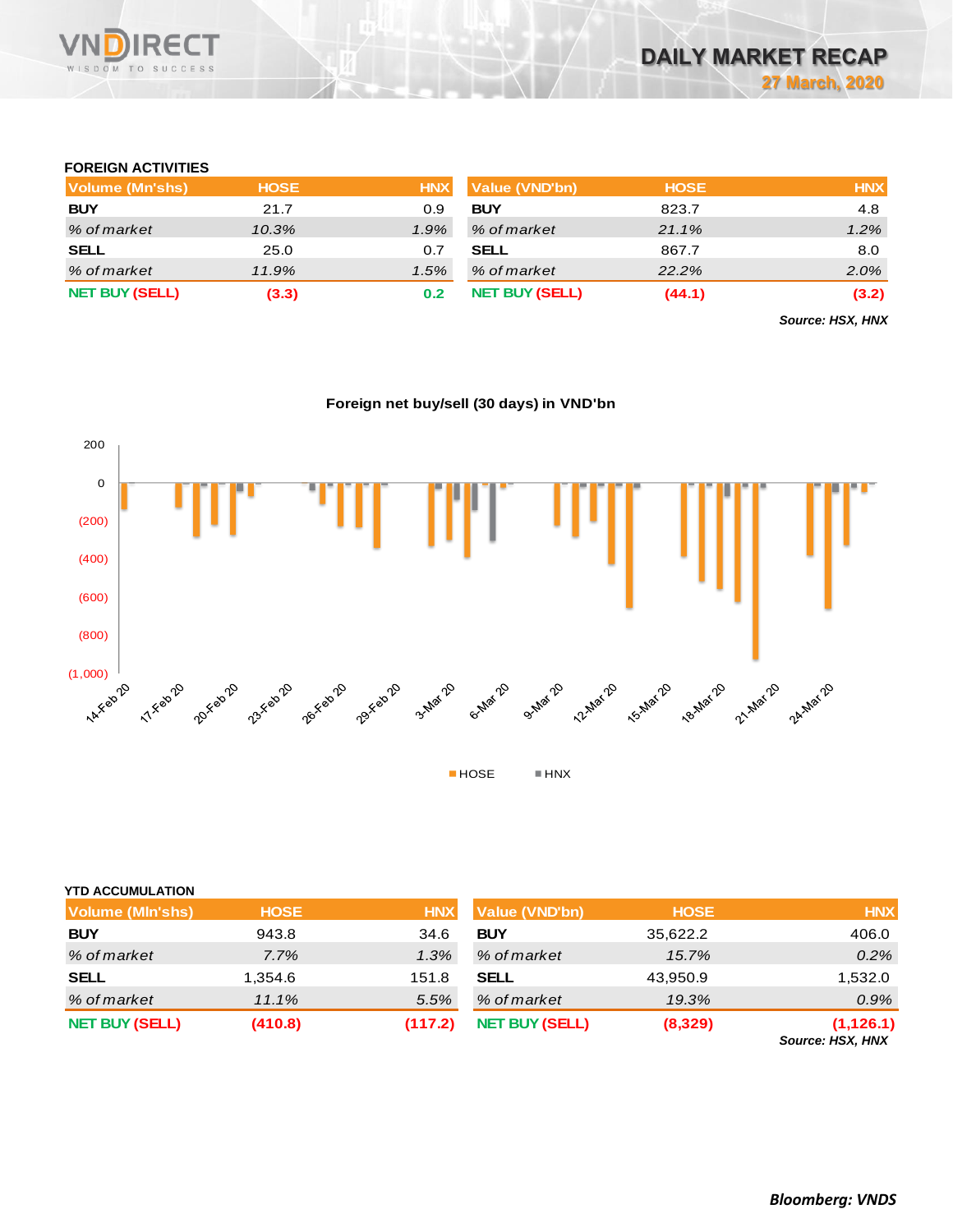

# **FOREIGN ACTIVITIES**

| Volume (Mn'shs)       | <b>HOSE</b> | <b>HNX</b> | Value (VND'bn)        | <b>HOSE</b> | <b>HNX</b> |
|-----------------------|-------------|------------|-----------------------|-------------|------------|
| <b>BUY</b>            | 21.7        | 0.9        | <b>BUY</b>            | 823.7       | 4.8        |
| % of market           | 10.3%       | 1.9%       | % of market           | 21.1%       | 1.2%       |
| <b>SELL</b>           | 25.0        | 0.7        | <b>SELL</b>           | 867.7       | 8.0        |
| % of market           | 11.9%       | 1.5%       | % of market           | 22.2%       | $2.0\%$    |
| <b>NET BUY (SELL)</b> | (3.3)       | 0.2        | <b>NET BUY (SELL)</b> | (44.1)      | (3.2)      |

*Source: HSX, HNX*

# **Foreign net buy/sell (30 days) in VND'bn**



## **YTD ACCUMULATION**

| <b>Volume (MIn'shs)</b> | <b>HOSE</b> | <b>HNX</b> | <b>Value (VND'bn)</b> | <b>HOSE</b> | <b>HNX</b>                     |
|-------------------------|-------------|------------|-----------------------|-------------|--------------------------------|
| <b>BUY</b>              | 943.8       | 34.6       | <b>BUY</b>            | 35,622.2    | 406.0                          |
| % of market             | 7.7%        | 1.3%       | % of market           | 15.7%       | $0.2\%$                        |
| <b>SELL</b>             | 1,354.6     | 151.8      | <b>SELL</b>           | 43,950.9    | 1,532.0                        |
| % of market             | 11.1%       | 5.5%       | % of market           | 19.3%       | 0.9%                           |
| <b>NET BUY (SELL)</b>   | (410.8)     | (117.2)    | <b>NET BUY (SELL)</b> | (8,329)     | (1, 126.1)<br>Source: HSX, HNX |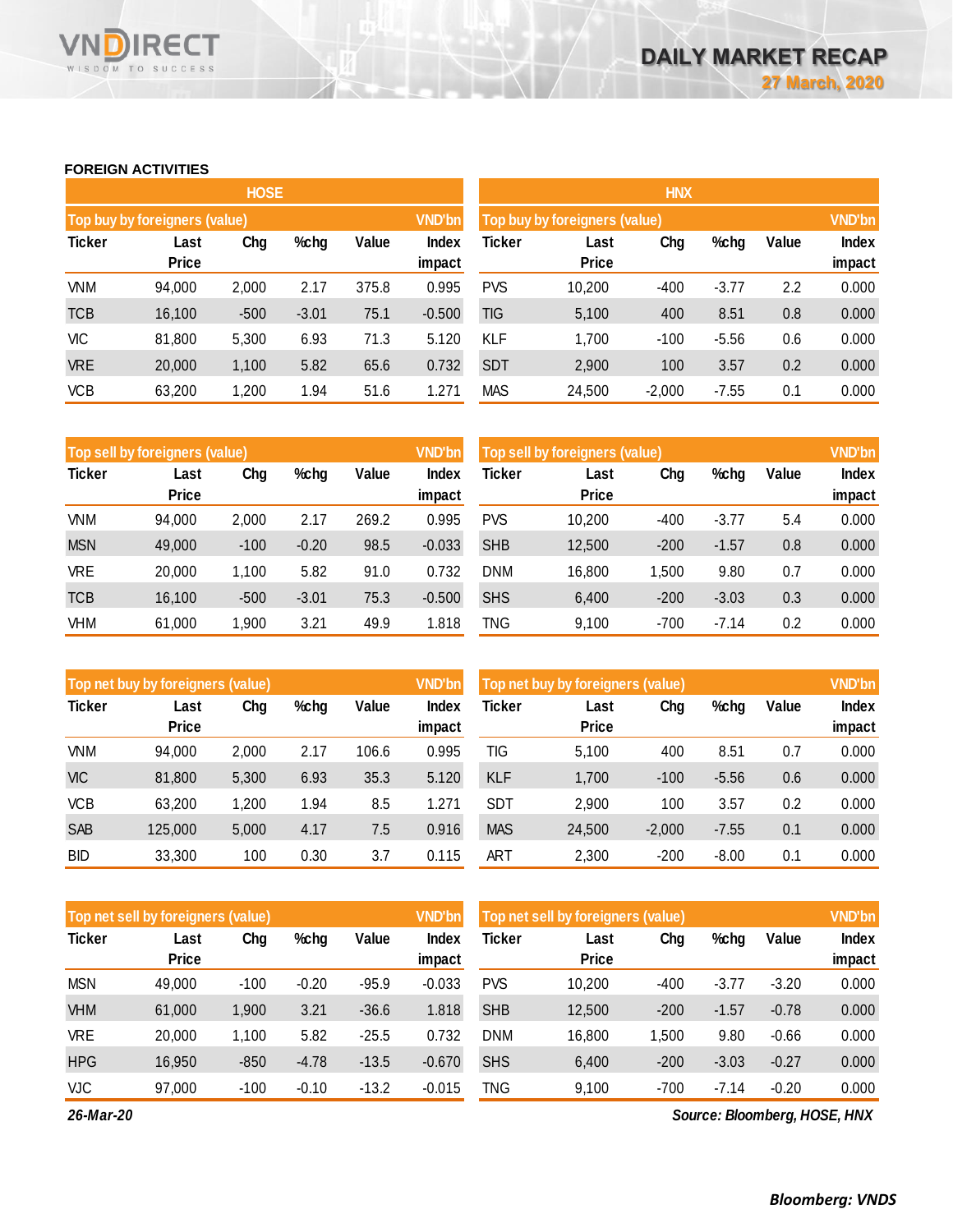### **FOREIGN ACTIVITIES**

WISDOM TO SUCCESS

VN

**RECT** 

|               |                               | <b>HOSE</b> |         |       |                        | <b>HNX</b>                    |                      |               |         |       |                 |  |
|---------------|-------------------------------|-------------|---------|-------|------------------------|-------------------------------|----------------------|---------------|---------|-------|-----------------|--|
|               | Top buy by foreigners (value) |             |         |       | <b>VND'bn</b>          | Top buy by foreigners (value) |                      | <b>VND'bn</b> |         |       |                 |  |
| <b>Ticker</b> | Last<br><b>Price</b>          | Chg         | %chg    | Value | <b>Index</b><br>impact | Ticker                        | Last<br><b>Price</b> | Chg           | %chg    | Value | Index<br>impact |  |
| <b>VNM</b>    | 94,000                        | 2,000       | 2.17    | 375.8 | 0.995                  | <b>PVS</b>                    | 10,200               | $-400$        | $-3.77$ | 2.2   | 0.000           |  |
| <b>TCB</b>    | 16,100                        | $-500$      | $-3.01$ | 75.1  | $-0.500$               | <b>TIG</b>                    | 5,100                | 400           | 8.51    | 0.8   | 0.000           |  |
| <b>VIC</b>    | 81,800                        | 5,300       | 6.93    | 71.3  | 5.120                  | <b>KLF</b>                    | 1,700                | $-100$        | $-5.56$ | 0.6   | 0.000           |  |
| <b>VRE</b>    | 20,000                        | 1,100       | 5.82    | 65.6  | 0.732                  | <b>SDT</b>                    | 2,900                | 100           | 3.57    | 0.2   | 0.000           |  |
| <b>VCB</b>    | 63,200                        | 1,200       | 1.94    | 51.6  | 1.271                  | <b>MAS</b>                    | 24,500               | $-2,000$      | $-7.55$ | 0.1   | 0.000           |  |

|               | Top sell by foreigners (value) |        |         |       | <b>VND'bn</b> | Top sell by foreigners (value), |              | <b>VND'bn</b> |         |       |        |
|---------------|--------------------------------|--------|---------|-------|---------------|---------------------------------|--------------|---------------|---------|-------|--------|
| <b>Ticker</b> | Last                           | Chg    | %chg    | Value | <b>Index</b>  | Ticker                          | Last         | Chg           | %chg    | Value | Index  |
|               | <b>Price</b>                   |        |         |       | impact        |                                 | <b>Price</b> |               |         |       | impact |
| VNM           | 94,000                         | 2,000  | 2.17    | 269.2 | 0.995         | <b>PVS</b>                      | 10,200       | $-400$        | $-3.77$ | 5.4   | 0.000  |
| <b>MSN</b>    | 49,000                         | $-100$ | $-0.20$ | 98.5  | $-0.033$      | <b>SHB</b>                      | 12,500       | $-200$        | $-1.57$ | 0.8   | 0.000  |
| <b>VRE</b>    | 20,000                         | 1,100  | 5.82    | 91.0  | 0.732         | <b>DNM</b>                      | 16,800       | 1,500         | 9.80    | 0.7   | 0.000  |
| <b>TCB</b>    | 16.100                         | $-500$ | $-3.01$ | 75.3  | $-0.500$      | <b>SHS</b>                      | 6,400        | $-200$        | $-3.03$ | 0.3   | 0.000  |
| VHM           | 61,000                         | 1,900  | 3.21    | 49.9  | 818. ا        | TNG                             | 9,100        | $-700$        | $-7.14$ | 0.2   | 0.000  |

|               | <b>Top net buy by foreigners (value)</b> |       |      |       | <b>VND'bn</b> | Top net buy by foreigners (value) |              | <b>VND'bn</b> |         |       |              |
|---------------|------------------------------------------|-------|------|-------|---------------|-----------------------------------|--------------|---------------|---------|-------|--------------|
| <b>Ticker</b> | Last                                     | Chg   | %chg | Value | Index         | Ticker                            | Last         | Chg           | %chg    | Value | <b>Index</b> |
|               | <b>Price</b>                             |       |      |       | impact        |                                   | <b>Price</b> |               |         |       | impact       |
| VNM           | 94,000                                   | 2,000 | 2.17 | 106.6 | 0.995         | TIG                               | 5.100        | 400           | 8.51    | 0.7   | 0.000        |
| <b>VIC</b>    | 81,800                                   | 5,300 | 6.93 | 35.3  | 5.120         | <b>KLF</b>                        | 1.700        | $-100$        | $-5.56$ | 0.6   | 0.000        |
| <b>VCB</b>    | 63,200                                   | 1,200 | 1.94 | 8.5   | .271          | <b>SDT</b>                        | 2,900        | 100           | 3.57    | 0.2   | 0.000        |
| <b>SAB</b>    | 125,000                                  | 5,000 | 4.17 | 7.5   | 0.916         | <b>MAS</b>                        | 24,500       | $-2,000$      | $-7.55$ | 0.1   | 0.000        |
| <b>BID</b>    | 33,300                                   | 100   | 0.30 | 3.7   | 0.115         | ART                               | 2,300        | $-200$        | $-8.00$ | 0.1   | 0.000        |

|               | Top net sell by foreigners (value) |        |         |         |          | Top net sell by foreigners (value) |                      | <b>VND'bn</b> |         |         |                 |
|---------------|------------------------------------|--------|---------|---------|----------|------------------------------------|----------------------|---------------|---------|---------|-----------------|
| <b>Ticker</b> | Last<br><b>Price</b>               | Chg    | %chg    | Value   | Index    | Ticker                             | Last<br><b>Price</b> | Chg           | %chg    | Value   | Index<br>impact |
|               |                                    |        |         |         | impact   |                                    |                      |               |         |         |                 |
| <b>MSN</b>    | 49.000                             | $-100$ | $-0.20$ | $-95.9$ | $-0.033$ | <b>PVS</b>                         | 10,200               | $-400$        | $-3.77$ | $-3.20$ | 0.000           |
| <b>VHM</b>    | 61,000                             | 1,900  | 3.21    | $-36.6$ | 1.818    | <b>SHB</b>                         | 12,500               | $-200$        | $-1.57$ | $-0.78$ | 0.000           |
| VRE           | 20,000                             | 1,100  | 5.82    | $-25.5$ | 0.732    | <b>DNM</b>                         | 16,800               | 1,500         | 9.80    | $-0.66$ | 0.000           |
| <b>HPG</b>    | 16.950                             | $-850$ | $-4.78$ | $-13.5$ | $-0.670$ | <b>SHS</b>                         | 6,400                | $-200$        | $-3.03$ | $-0.27$ | 0.000           |
| VJC           | 97,000                             | $-100$ | $-0.10$ | $-13.2$ | $-0.015$ | TNG                                | 9,100                | $-700$        | $-7.14$ | $-0.20$ | 0.000           |

*26-Mar-20*

*Source: Bloomberg, HOSE, HNX*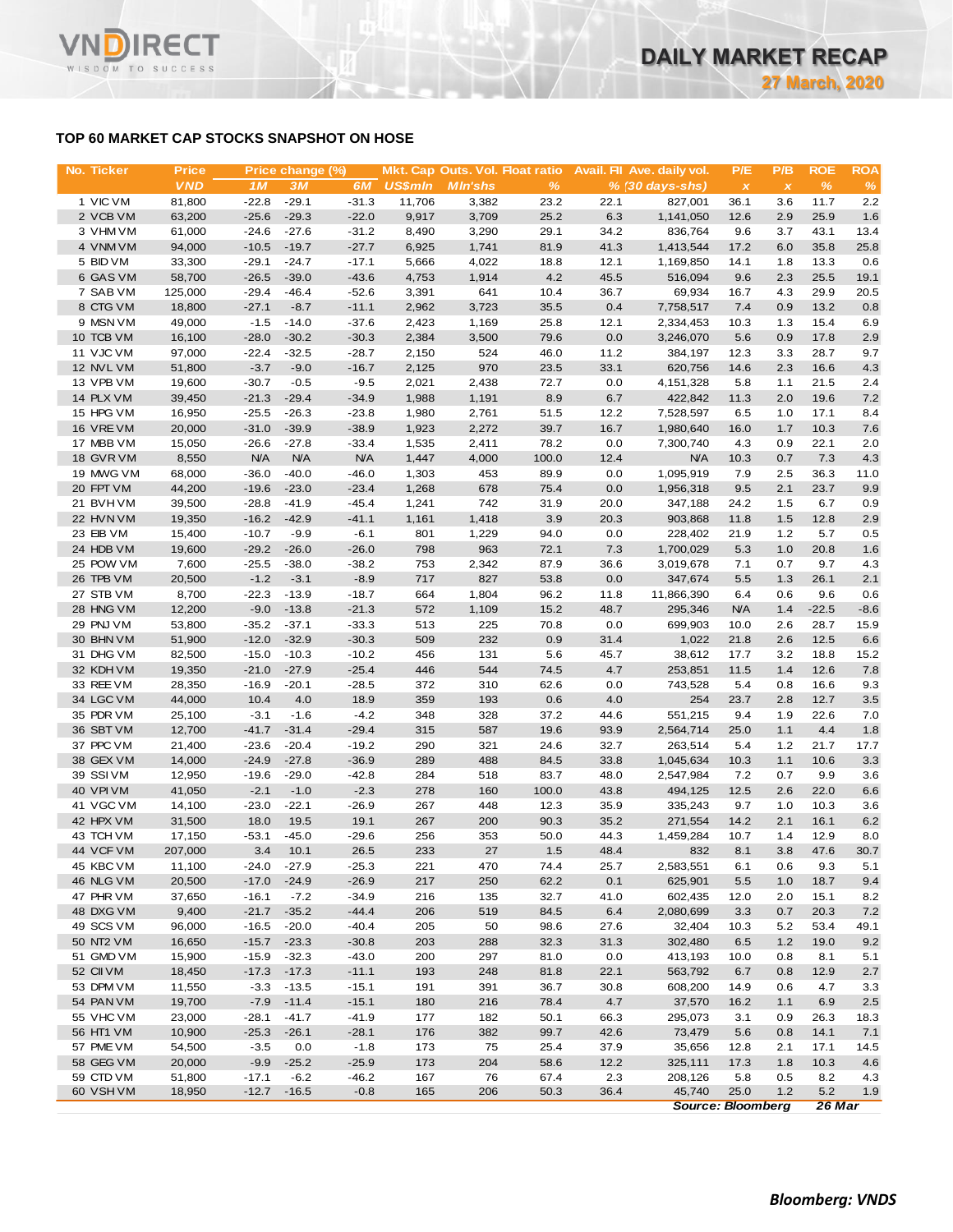# **TOP 60 MARKET CAP STOCKS SNAPSHOT ON HOSE**

| No. Ticker             | <b>Price</b>      |                    | Price change (%)   |                    |                | Mkt. Cap Outs. Vol. Float ratio |              |              | Avail. Fil Ave. daily vol. | P/E               | P/B          | <b>ROE</b>     | <b>ROA</b>    |
|------------------------|-------------------|--------------------|--------------------|--------------------|----------------|---------------------------------|--------------|--------------|----------------------------|-------------------|--------------|----------------|---------------|
|                        | <b>VND</b>        | 1M                 | 3M                 | 6M                 | <b>US\$mln</b> | <b>MIn'shs</b>                  | $\%$         |              | $% (30 days-shs)$          | $\pmb{\times}$    | $\pmb{\chi}$ | $\%$           | %             |
| 1 VIC VM               | 81,800            | $-22.8$            | $-29.1$            | $-31.3$            | 11,706         | 3,382                           | 23.2         | 22.1         | 827,001                    | 36.1              | 3.6          | 11.7           | 2.2           |
| 2 VCB VM               | 63,200            | $-25.6$            | $-29.3$            | $-22.0$            | 9,917          | 3,709                           | 25.2         | 6.3          | 1,141,050                  | 12.6              | 2.9          | 25.9           | 1.6           |
| 3 VHM VM               | 61,000            | $-24.6$            | $-27.6$            | $-31.2$            | 8,490          | 3,290                           | 29.1         | 34.2         | 836,764                    | 9.6               | 3.7          | 43.1           | 13.4          |
| 4 VNM VM               | 94,000            | $-10.5$            | $-19.7$            | $-27.7$            | 6,925          | 1,741                           | 81.9         | 41.3         | 1,413,544                  | 17.2              | 6.0          | 35.8           | 25.8          |
| 5 BID VM               | 33,300            | $-29.1$            | $-24.7$            | $-17.1$            | 5,666          | 4,022                           | 18.8         | 12.1         | 1,169,850                  | 14.1              | 1.8          | 13.3           | 0.6           |
| 6 GAS VM               | 58,700            | $-26.5$            | $-39.0$            | $-43.6$            | 4,753          | 1,914                           | 4.2          | 45.5         | 516,094                    | 9.6               | 2.3          | 25.5           | 19.1          |
| 7 SAB VM               | 125,000           | $-29.4$            | $-46.4$            | $-52.6$            | 3,391          | 641                             | 10.4         | 36.7         | 69,934                     | 16.7              | 4.3          | 29.9           | 20.5          |
| 8 CTG VM<br>9 MSN VM   | 18,800<br>49,000  | $-27.1$<br>$-1.5$  | $-8.7$<br>$-14.0$  | $-11.1$<br>$-37.6$ | 2,962<br>2,423 | 3,723<br>1,169                  | 35.5<br>25.8 | 0.4<br>12.1  | 7,758,517<br>2,334,453     | 7.4<br>10.3       | 0.9<br>1.3   | 13.2<br>15.4   | 0.8<br>6.9    |
| 10 TCB VM              | 16,100            | $-28.0$            | $-30.2$            | $-30.3$            | 2,384          | 3,500                           | 79.6         | 0.0          | 3,246,070                  | 5.6               | 0.9          | 17.8           | 2.9           |
| 11 VJC VM              | 97,000            | $-22.4$            | $-32.5$            | $-28.7$            | 2,150          | 524                             | 46.0         | 11.2         | 384,197                    | 12.3              | 3.3          | 28.7           | 9.7           |
| 12 NVL VM              | 51,800            | $-3.7$             | $-9.0$             | $-16.7$            | 2,125          | 970                             | 23.5         | 33.1         | 620,756                    | 14.6              | 2.3          | 16.6           | 4.3           |
| 13 VPB VM              | 19,600            | $-30.7$            | $-0.5$             | $-9.5$             | 2,021          | 2,438                           | 72.7         | 0.0          | 4,151,328                  | 5.8               | 1.1          | 21.5           | 2.4           |
| 14 PLX VM              | 39,450            | $-21.3$            | $-29.4$            | $-34.9$            | 1,988          | 1,191                           | 8.9          | 6.7          | 422,842                    | 11.3              | 2.0          | 19.6           | 7.2           |
| 15 HPG VM              | 16,950            | $-25.5$            | $-26.3$            | $-23.8$            | 1,980          | 2,761                           | 51.5         | 12.2         | 7,528,597                  | 6.5               | 1.0          | 17.1           | 8.4           |
| 16 VREVM               | 20,000            | $-31.0$            | $-39.9$            | $-38.9$            | 1,923          | 2,272                           | 39.7         | 16.7         | 1,980,640                  | 16.0              | 1.7          | 10.3           | 7.6           |
| 17 MBB VM              | 15,050            | $-26.6$            | $-27.8$            | $-33.4$            | 1,535          | 2,411                           | 78.2         | 0.0          | 7,300,740                  | 4.3               | 0.9          | 22.1           | 2.0           |
| 18 GVR VM              | 8,550             | <b>N/A</b>         | <b>N/A</b>         | <b>N/A</b>         | 1,447          | 4,000                           | 100.0        | 12.4         | <b>N/A</b>                 | 10.3              | 0.7          | 7.3            | 4.3           |
| 19 MWG VM              | 68,000            | $-36.0$            | $-40.0$            | $-46.0$            | 1,303          | 453                             | 89.9         | 0.0          | 1,095,919                  | 7.9               | 2.5          | 36.3           | 11.0          |
| 20 FPT VM              | 44,200            | $-19.6$            | $-23.0$            | $-23.4$            | 1,268          | 678                             | 75.4         | 0.0          | 1,956,318                  | 9.5               | 2.1          | 23.7           | 9.9           |
| 21 BVHVM               | 39,500            | $-28.8$            | $-41.9$            | $-45.4$            | 1,241          | 742                             | 31.9         | 20.0         | 347,188                    | 24.2              | 1.5          | 6.7            | 0.9           |
| 22 HVN VM              | 19,350            | $-16.2$            | $-42.9$            | $-41.1$            | 1,161          | 1,418                           | 3.9          | 20.3         | 903,868                    | 11.8              | 1.5          | 12.8           | 2.9           |
| 23 EIB VM              | 15,400            | $-10.7$            | $-9.9$             | $-6.1$             | 801            | 1,229                           | 94.0         | 0.0          | 228,402                    | 21.9              | 1.2          | 5.7            | 0.5           |
| 24 HDB VM              | 19,600            | $-29.2$            | $-26.0$            | $-26.0$            | 798            | 963                             | 72.1         | 7.3          | 1,700,029                  | 5.3               | 1.0          | 20.8           | 1.6           |
| 25 POW VM              | 7,600             | $-25.5$            | $-38.0$            | $-38.2$            | 753            | 2,342                           | 87.9         | 36.6         | 3,019,678                  | 7.1               | 0.7          | 9.7            | 4.3           |
| 26 TPB VM              | 20,500            | $-1.2$             | $-3.1$             | $-8.9$             | 717            | 827                             | 53.8         | 0.0          | 347,674                    | 5.5               | 1.3          | 26.1           | 2.1           |
| 27 STB VM<br>28 HNG VM | 8,700<br>12,200   | $-22.3$<br>$-9.0$  | $-13.9$<br>$-13.8$ | $-18.7$<br>$-21.3$ | 664<br>572     | 1,804<br>1,109                  | 96.2<br>15.2 | 11.8<br>48.7 | 11,866,390<br>295,346      | 6.4<br><b>N/A</b> | 0.6<br>1.4   | 9.6<br>$-22.5$ | 0.6<br>$-8.6$ |
| 29 PNJ VM              | 53,800            | $-35.2$            | $-37.1$            | $-33.3$            | 513            | 225                             | 70.8         | 0.0          | 699,903                    | 10.0              | 2.6          | 28.7           | 15.9          |
| 30 BHN VM              | 51,900            | $-12.0$            | $-32.9$            | $-30.3$            | 509            | 232                             | 0.9          | 31.4         | 1,022                      | 21.8              | 2.6          | 12.5           | 6.6           |
| 31 DHG VM              | 82,500            | $-15.0$            | $-10.3$            | $-10.2$            | 456            | 131                             | 5.6          | 45.7         | 38,612                     | 17.7              | 3.2          | 18.8           | 15.2          |
| 32 KDH VM              | 19,350            | $-21.0$            | $-27.9$            | $-25.4$            | 446            | 544                             | 74.5         | 4.7          | 253,851                    | 11.5              | 1.4          | 12.6           | 7.8           |
| 33 REE VM              | 28,350            | $-16.9$            | $-20.1$            | $-28.5$            | 372            | 310                             | 62.6         | 0.0          | 743,528                    | 5.4               | 0.8          | 16.6           | 9.3           |
| 34 LGC VM              | 44,000            | 10.4               | 4.0                | 18.9               | 359            | 193                             | 0.6          | 4.0          | 254                        | 23.7              | 2.8          | 12.7           | 3.5           |
| 35 PDR VM              | 25,100            | $-3.1$             | $-1.6$             | $-4.2$             | 348            | 328                             | 37.2         | 44.6         | 551,215                    | 9.4               | 1.9          | 22.6           | 7.0           |
| 36 SBT VM              | 12,700            | $-41.7$            | $-31.4$            | $-29.4$            | 315            | 587                             | 19.6         | 93.9         | 2,564,714                  | 25.0              | 1.1          | 4.4            | 1.8           |
| 37 PPC VM              | 21,400            | $-23.6$            | $-20.4$            | $-19.2$            | 290            | 321                             | 24.6         | 32.7         | 263,514                    | 5.4               | 1.2          | 21.7           | 17.7          |
| 38 GEX VM              | 14,000            | $-24.9$            | $-27.8$            | $-36.9$            | 289            | 488                             | 84.5         | 33.8         | 1,045,634                  | 10.3              | 1.1          | 10.6           | 3.3           |
| 39 SSIVM               | 12,950            | $-19.6$            | $-29.0$            | $-42.8$            | 284            | 518                             | 83.7         | 48.0         | 2,547,984                  | 7.2               | 0.7          | 9.9            | 3.6           |
| <b>40 VPIVM</b>        | 41,050            | $-2.1$             | $-1.0$             | $-2.3$             | 278            | 160                             | 100.0        | 43.8         | 494,125                    | 12.5              | 2.6          | 22.0           | 6.6           |
| 41 VGC VM              | 14,100            | $-23.0$            | $-22.1$            | $-26.9$            | 267            | 448                             | 12.3         | 35.9         | 335,243                    | 9.7               | 1.0          | 10.3           | 3.6           |
| 42 HPX VM              | 31,500            | 18.0               | 19.5               | 19.1               | 267            | 200                             | 90.3         | 35.2         | 271,554                    | 14.2              | 2.1          | 16.1           | 6.2           |
| 43 TCH VM              | 17,150            | $-53.1$            | $-45.0$            | $-29.6$            | 256            | 353                             | 50.0         | 44.3         | 1,459,284                  | 10.7              | 1.4          | 12.9           | 8.0           |
| 44 VCF VM<br>45 KBC VM | 207,000<br>11,100 | 3.4                | 10.1               | 26.5               | 233            | 27                              | 1.5          | 48.4         | 832                        | 8.1               | 3.8          | 47.6           | 30.7          |
|                        | 20,500            | $-24.0$<br>$-17.0$ | $-27.9$            | $-25.3$<br>$-26.9$ | 221<br>217     | 470<br>250                      | 74.4<br>62.2 | 25.7<br>0.1  | 2,583,551<br>625,901       | 6.1               | 0.6          | 9.3<br>18.7    | 5.1           |
| 46 NLG VM<br>47 PHR VM | 37,650            | $-16.1$            | $-24.9$<br>$-7.2$  | $-34.9$            | 216            | 135                             | 32.7         | 41.0         | 602,435                    | 5.5<br>12.0       | 1.0<br>2.0   | 15.1           | 9.4<br>8.2    |
| 48 DXG VM              | 9,400             | $-21.7$            | $-35.2$            | $-44.4$            | 206            | 519                             | 84.5         | 6.4          | 2,080,699                  | 3.3               | 0.7          | 20.3           | 7.2           |
| 49 SCS VM              | 96,000            | $-16.5$            | $-20.0$            | $-40.4$            | 205            | 50                              | 98.6         | 27.6         | 32,404                     | 10.3              | 5.2          | 53.4           | 49.1          |
| 50 NT2 VM              | 16,650            | $-15.7$            | $-23.3$            | $-30.8$            | 203            | 288                             | 32.3         | 31.3         | 302,480                    | 6.5               | 1.2          | 19.0           | 9.2           |
| 51 GMD VM              | 15,900            | $-15.9$            | $-32.3$            | $-43.0$            | 200            | 297                             | 81.0         | 0.0          | 413,193                    | 10.0              | 0.8          | 8.1            | 5.1           |
| 52 CII VM              | 18,450            | $-17.3$            | $-17.3$            | $-11.1$            | 193            | 248                             | 81.8         | 22.1         | 563,792                    | 6.7               | 0.8          | 12.9           | 2.7           |
| 53 DPM VM              | 11,550            | $-3.3$             | $-13.5$            | $-15.1$            | 191            | 391                             | 36.7         | 30.8         | 608,200                    | 14.9              | 0.6          | 4.7            | 3.3           |
| 54 PAN VM              | 19,700            | $-7.9$             | $-11.4$            | $-15.1$            | 180            | 216                             | 78.4         | 4.7          | 37,570                     | 16.2              | 1.1          | 6.9            | 2.5           |
| 55 VHC VM              | 23,000            | $-28.1$            | $-41.7$            | $-41.9$            | 177            | 182                             | 50.1         | 66.3         | 295,073                    | 3.1               | 0.9          | 26.3           | 18.3          |
| 56 HT1 VM              | 10,900            | $-25.3$            | $-26.1$            | $-28.1$            | 176            | 382                             | 99.7         | 42.6         | 73,479                     | 5.6               | 0.8          | 14.1           | 7.1           |
| 57 PME VM              | 54,500            | $-3.5$             | 0.0                | $-1.8$             | 173            | 75                              | 25.4         | 37.9         | 35,656                     | 12.8              | 2.1          | 17.1           | 14.5          |
| 58 GEG VM              | 20,000            | $-9.9$             | $-25.2$            | $-25.9$            | 173            | 204                             | 58.6         | 12.2         | 325,111                    | 17.3              | 1.8          | 10.3           | 4.6           |
| 59 CTD VM              | 51,800            | $-17.1$            | $-6.2$             | $-46.2$            | 167            | 76                              | 67.4         | 2.3          | 208,126                    | 5.8               | 0.5          | 8.2            | 4.3           |
| 60 VSH VM              | 18,950            | $-12.7$            | $-16.5$            | $-0.8$             | 165            | 206                             | 50.3         | 36.4         | 45,740                     | 25.0              | 1.2          | 5.2            | 1.9           |